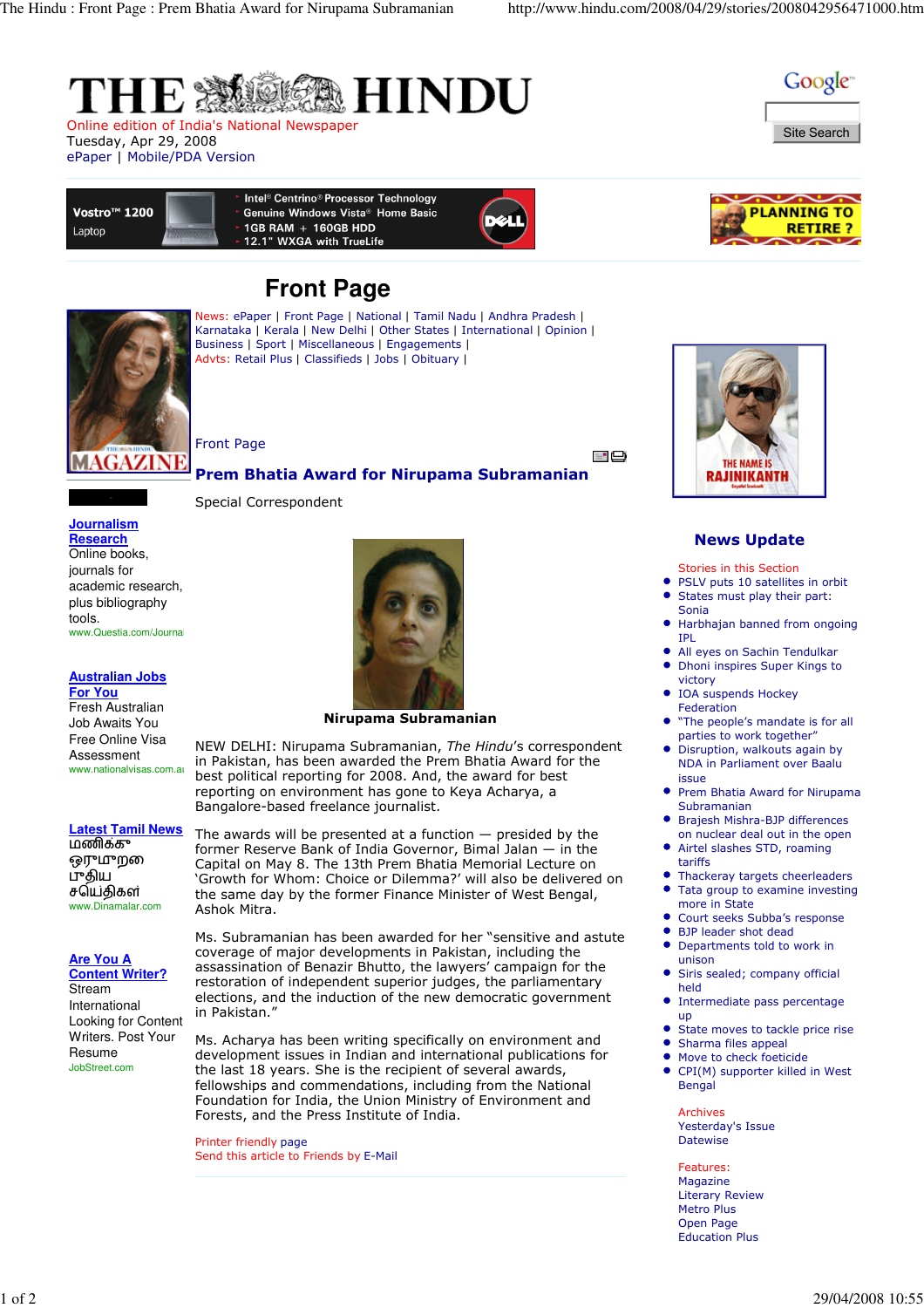

Online edition of India's National Newspaper Tuesday, Apr 29, 2008 ePaper | Mobile/PDA Version



**LANNING TO** 

**RETIRE?** 



Intel<sup>®</sup> Centrino<sup>®</sup> Processor Technology Vostro<sup>™</sup> 1200 Genuine Windows Vista<sup>®</sup> Home Basic 1GB RAM + 160GB HDD Laptor 12.1" WXGA with TrueLife

# **Front Page**



News: ePaper | Front Page | National | Tamil Nadu | Andhra Pradesh | Karnataka | Kerala | New Delhi | Other States | International | Opinion | Business | Sport | Miscellaneous | Engagements | Advts: Retail Plus | Classifieds | Jobs | Obituary |

Front Page

Special Correspondent

- 부

## Prem Bhatia Award for Nirupama Subramanian



## **Australian Jobs**

**For You** Fresh Australian Job Awaits You Free Online Visa Assessment www.nationalvisas.com.au

## **Latest Tamil News**

மணிக்கு ஒருமுற புதிய செய்திகள் www.Dinamalar.com

**Are You A** 

**Content Writer?** Stream International Looking for Content Writers. Post Your Resume JobStreet.com



## Nirupama Subramanian

NEW DELHI: Nirupama Subramanian, The Hindu's correspondent in Pakistan, has been awarded the Prem Bhatia Award for the best political reporting for 2008. And, the award for best reporting on environment has gone to Keya Acharya, a Bangalore-based freelance journalist.

The awards will be presented at a function  $-$  presided by the former Reserve Bank of India Governor, Bimal Jalan — in the Capital on May 8. The 13th Prem Bhatia Memorial Lecture on 'Growth for Whom: Choice or Dilemma?' will also be delivered on the same day by the former Finance Minister of West Bengal, Ashok Mitra.

Ms. Subramanian has been awarded for her "sensitive and astute coverage of major developments in Pakistan, including the assassination of Benazir Bhutto, the lawyers' campaign for the restoration of independent superior judges, the parliamentary elections, and the induction of the new democratic government in Pakistan."

Ms. Acharya has been writing specifically on environment and development issues in Indian and international publications for the last 18 years. She is the recipient of several awards, fellowships and commendations, including from the National Foundation for India, the Union Ministry of Environment and Forests, and the Press Institute of India.

Printer friendly page Send this article to Friends by E-Mail

#### Stories in this Section PSLV puts 10 satellites in orbit

News Update

THE NAME IS **RAJINIKANTH** 

- $\bullet$ States must play their part: Sonia
- Harbhajan banned from ongoing IPL
- All eyes on Sachin Tendulkar  $\bullet$ Dhoni inspires Super Kings to
- victory IOA suspends Hockey
- Federation "The people's mandate is for all
- parties to work together" Disruption, walkouts again by NDA in Parliament over Baalu
- issue Prem Bhatia Award for Nirupama Subramanian
- Brajesh Mishra-BJP differences
- on nuclear deal out in the open Airtel slashes STD, roaming
- tariffs  $\bullet$
- Thackeray targets cheerleaders ä Tata group to examine investing more in State
- Court seeks Subba's response
- BJP leader shot dead  $\bullet$
- $\bullet$ Departments told to work in unison
- Siris sealed; company official held
- $\bullet$ Intermediate pass percentage up
- $\bullet$ State moves to tackle price rise
- Sharma files appeal
- Move to check foeticide CPI(M) supporter killed in West  $\bullet$ Bengal

Archives Yesterday's Issue Datewise

Features: Magazine Literary Review Metro Plus Open Page Education Plus